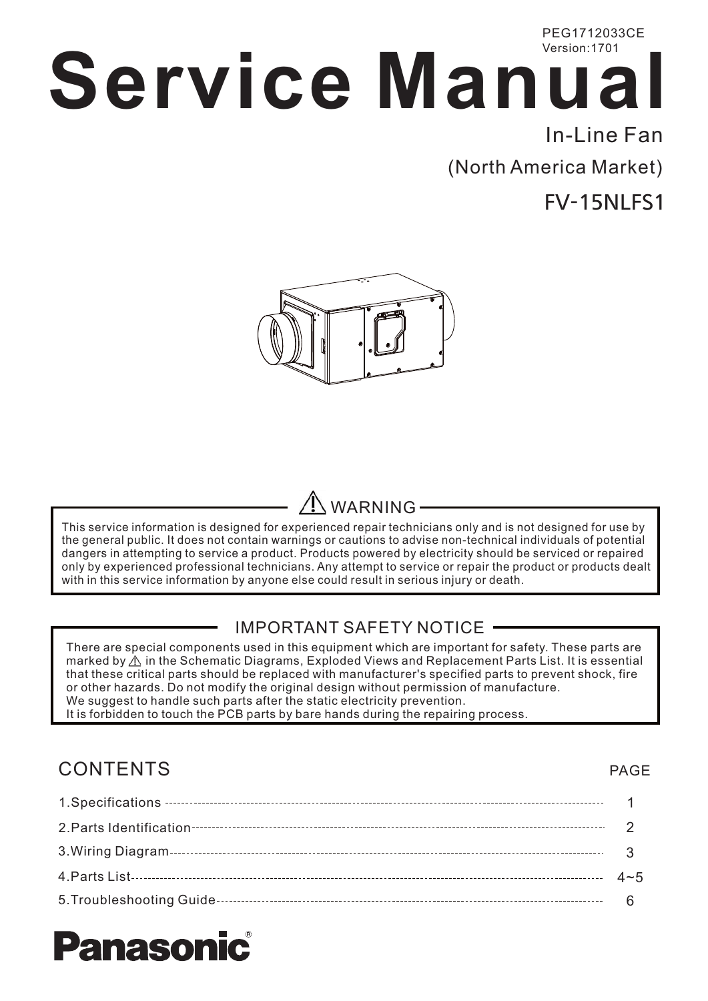## **Service Manual** PEG1712033CE Version:1701 In-Line Fan

(North America Market)

FV-15NLFS1



## WARNING

This service information is designed for experienced repair technicians only and is not designed for use by the general public. It does not contain warnings or cautions to advise non-technical individuals of potential dangers in attempting to service a product. Products powered by electricity should be serviced or repaired only by experienced professional technicians. Any attempt to service or repair the product or products dealt with in this service information by anyone else could result in serious injury or death.

### IMPORTANT SAFETY NOTICE

There are special components used in this equipment which are important for safety. These parts are marked by  $\triangle$  in the Schematic Diagrams, Exploded Views and Replacement Parts List. It is essential that these critical parts should be replaced with manufacturer's specified parts to prevent shock, fire or other hazards. Do not modify the original design without permission of manufacture. We suggest to handle such parts after the static electricity prevention. It is forbidden to touch the PCB parts by bare hands during the repairing process.

### CONTENTS

#### 1.Specifications 12.Parts Identification  $\mathfrak{p}$ 3.Wiring Diagram 3 4.Parts List  $4 - 5$ 5.Troubleshooting Guide 6

# **nason**

PAGE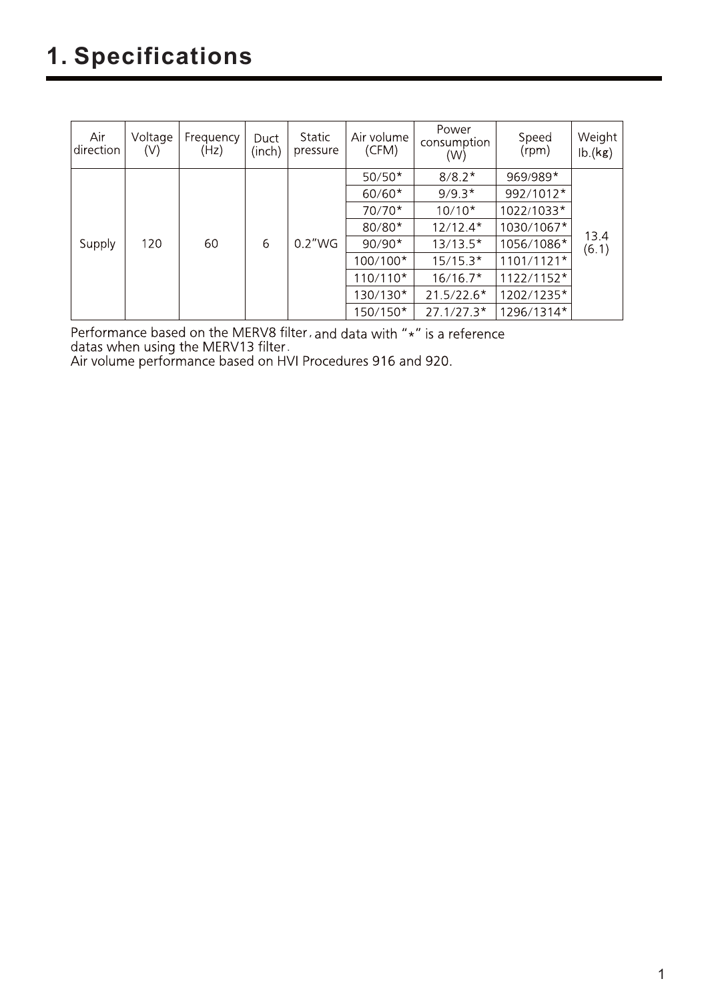## 1. Specifications

| Air<br>direction | Voltage<br>(V) | Frequency<br>(Hz) | Duct<br>(inch) | Static<br>pressure | Air volume<br>(CFM) | Power<br>consumption<br>(W) | Speed<br>(rpm) | Weight<br>lb.(kg) |
|------------------|----------------|-------------------|----------------|--------------------|---------------------|-----------------------------|----------------|-------------------|
|                  |                |                   |                |                    | $50/50*$            | $8/8.2*$                    | 969/989*       |                   |
|                  |                |                   |                |                    | $60/60*$            | $9/9.3*$                    | 992/1012*      |                   |
|                  |                |                   |                |                    | $70/70*$            | $10/10*$                    | 1022/1033*     |                   |
|                  |                |                   |                |                    | $80/80*$            | $12/12.4*$                  | 1030/1067*     |                   |
| Supply           | 120            | 60                | 6              | 0.2"WG             | $90/90*$            | $13/13.5*$                  | 1056/1086*     | 13.4<br>(6.1)     |
|                  |                |                   |                |                    | 100/100*            | $15/15.3*$                  | $1101/1121*$   |                   |
|                  |                |                   |                |                    | 110/110*            | $16/16.7*$                  | $1122/1152*$   |                   |
|                  |                |                   |                |                    | 130/130*            | $21.5/22.6*$                | 1202/1235*     |                   |
|                  |                |                   |                |                    | 150/150*            | $27.1/27.3*$                | 1296/1314*     |                   |

Performance based on the MERV8 filter, and data with "\*" is a reference datas when using the MERV13 filter.<br>Air volume performance based on HVI Procedures 916 and 920.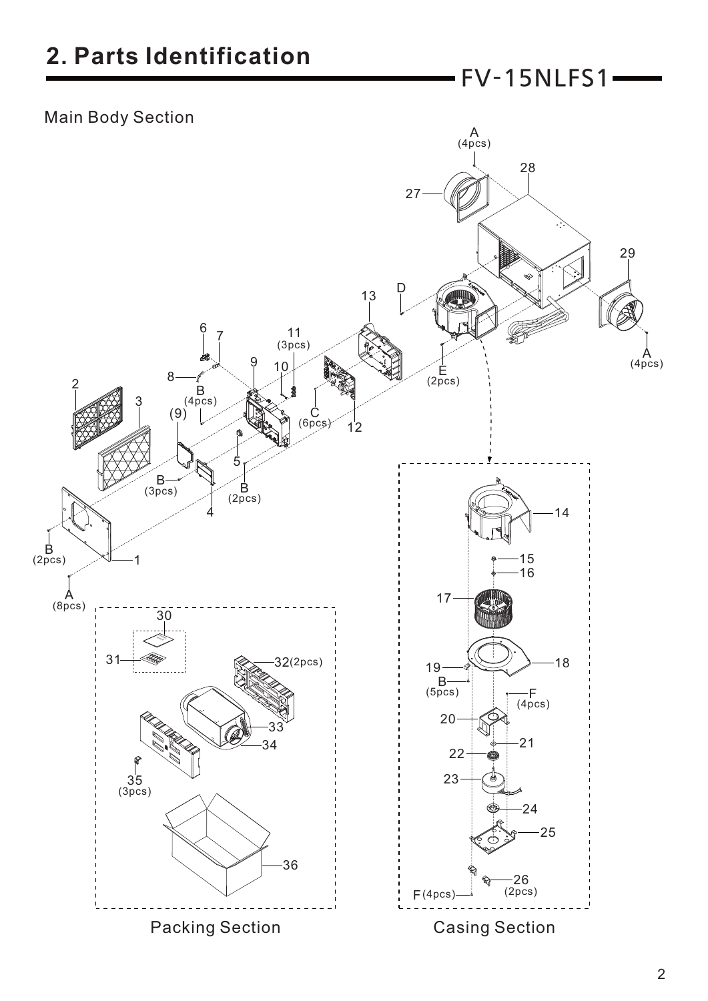FV-15NLFS1

### Main Body Section

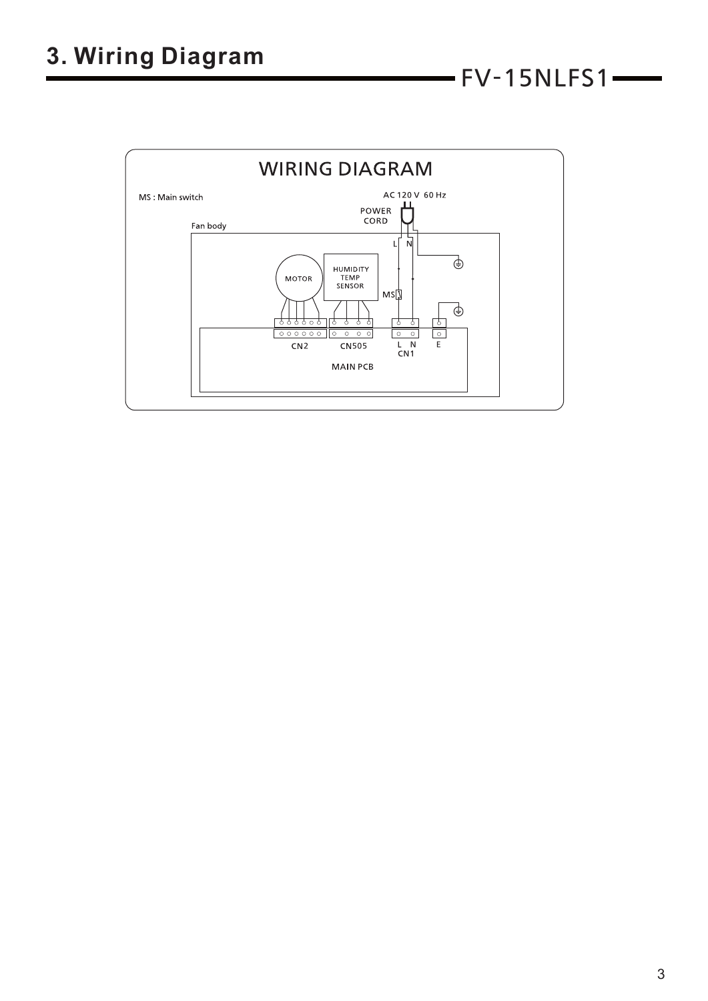

 $-$  FV-15NLFS1 $-$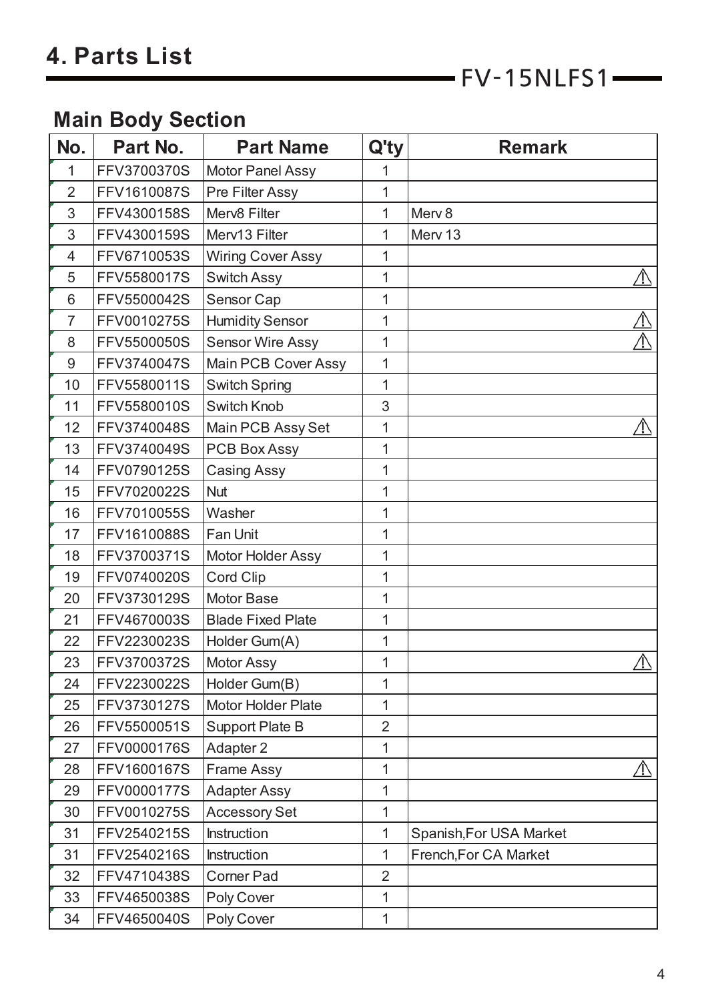$FV-15NLFS1$ 

### **Main Body Section**

| No.            | Part No.    | <b>Part Name</b>           | $Q'$ ty        | <b>Remark</b>           |
|----------------|-------------|----------------------------|----------------|-------------------------|
| 1              | FFV3700370S | <b>Motor Panel Assy</b>    | 1              |                         |
| $\overline{2}$ | FFV1610087S | Pre Filter Assy            | 1              |                         |
| 3              | FFV4300158S | Merv8 Filter               | 1              | Merv <sub>8</sub>       |
| 3              | FFV4300159S | Merv13 Filter              | 1              | Merv 13                 |
| 4              | FFV6710053S | <b>Wiring Cover Assy</b>   | 1              |                         |
| 5              | FFV5580017S | <b>Switch Assy</b>         | 1              | <u>/I\</u>              |
| 6              | FFV5500042S | Sensor Cap                 | 1              |                         |
| $\overline{7}$ | FFV0010275S | <b>Humidity Sensor</b>     | 1              | <u>/ \</u>              |
| 8              | FFV5500050S | <b>Sensor Wire Assy</b>    | 1              |                         |
| 9              | FFV3740047S | <b>Main PCB Cover Assy</b> | 1              |                         |
| 10             | FFV5580011S | <b>Switch Spring</b>       | 1              |                         |
| 11             | FFV5580010S | <b>Switch Knob</b>         | 3              |                         |
| 12             | FFV3740048S | Main PCB Assy Set          | 1              | <u>/I\</u>              |
| 13             | FFV3740049S | <b>PCB Box Assy</b>        | 1              |                         |
| 14             | FFV0790125S | <b>Casing Assy</b>         | 1              |                         |
| 15             | FFV7020022S | <b>Nut</b>                 | 1              |                         |
| 16             | FFV7010055S | Washer                     | 1              |                         |
| 17             | FFV1610088S | Fan Unit                   | 1              |                         |
| 18             | FFV3700371S | Motor Holder Assy          | 1              |                         |
| 19             | FFV0740020S | <b>Cord Clip</b>           | 1              |                         |
| 20             | FFV3730129S | Motor Base                 | 1              |                         |
| 21             | FFV4670003S | <b>Blade Fixed Plate</b>   | 1              |                         |
| 22             | FFV2230023S | Holder Gum(A)              | 1              |                         |
| 23             | FFV3700372S | Motor Assy                 | 1              | $\mathbb{A}$            |
| 24             | FFV2230022S | Holder Gum(B)              | 1              |                         |
| 25             | FFV3730127S | Motor Holder Plate         | 1              |                         |
| 26             | FFV5500051S | <b>Support Plate B</b>     | $\overline{2}$ |                         |
| 27             | FFV0000176S | Adapter 2                  | 1              |                         |
| 28             | FFV1600167S | Frame Assy                 | 1              | ∕!∖                     |
| 29             | FFV0000177S | <b>Adapter Assy</b>        | 1              |                         |
| 30             | FFV0010275S | <b>Accessory Set</b>       | 1              |                         |
| 31             | FFV2540215S | Instruction                | 1              | Spanish, For USA Market |
| 31             | FFV2540216S | Instruction                | 1              | French, For CA Market   |
| 32             | FFV4710438S | <b>Corner Pad</b>          | $\overline{2}$ |                         |
| 33             | FFV4650038S | Poly Cover                 | 1              |                         |
| 34             | FFV4650040S | Poly Cover                 | 1              |                         |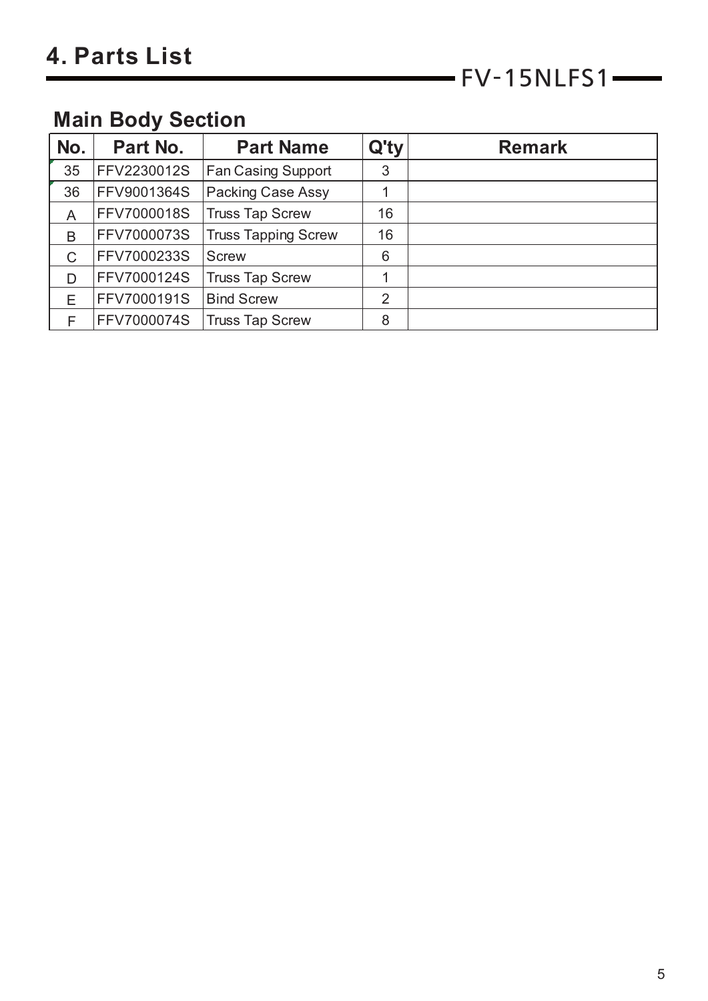### **Main Body Section**

| No. | Part No.           | <b>Part Name</b>           | Q'ty           | <b>Remark</b> |
|-----|--------------------|----------------------------|----------------|---------------|
| 35  | FFV2230012S        | <b>Fan Casing Support</b>  | 3              |               |
| 36  | <b>FFV9001364S</b> | <b>Packing Case Assy</b>   |                |               |
| A   | FFV7000018S        | <b>Truss Tap Screw</b>     | 16             |               |
| B   | FFV7000073S        | <b>Truss Tapping Screw</b> | 16             |               |
| C   | FFV7000233S        | <b>Screw</b>               | 6              |               |
| D   | FFV7000124S        | <b>Truss Tap Screw</b>     |                |               |
| Е   | FFV7000191S        | <b>Bind Screw</b>          | $\overline{2}$ |               |
|     | FFV7000074S        | <b>Truss Tap Screw</b>     | 8              |               |